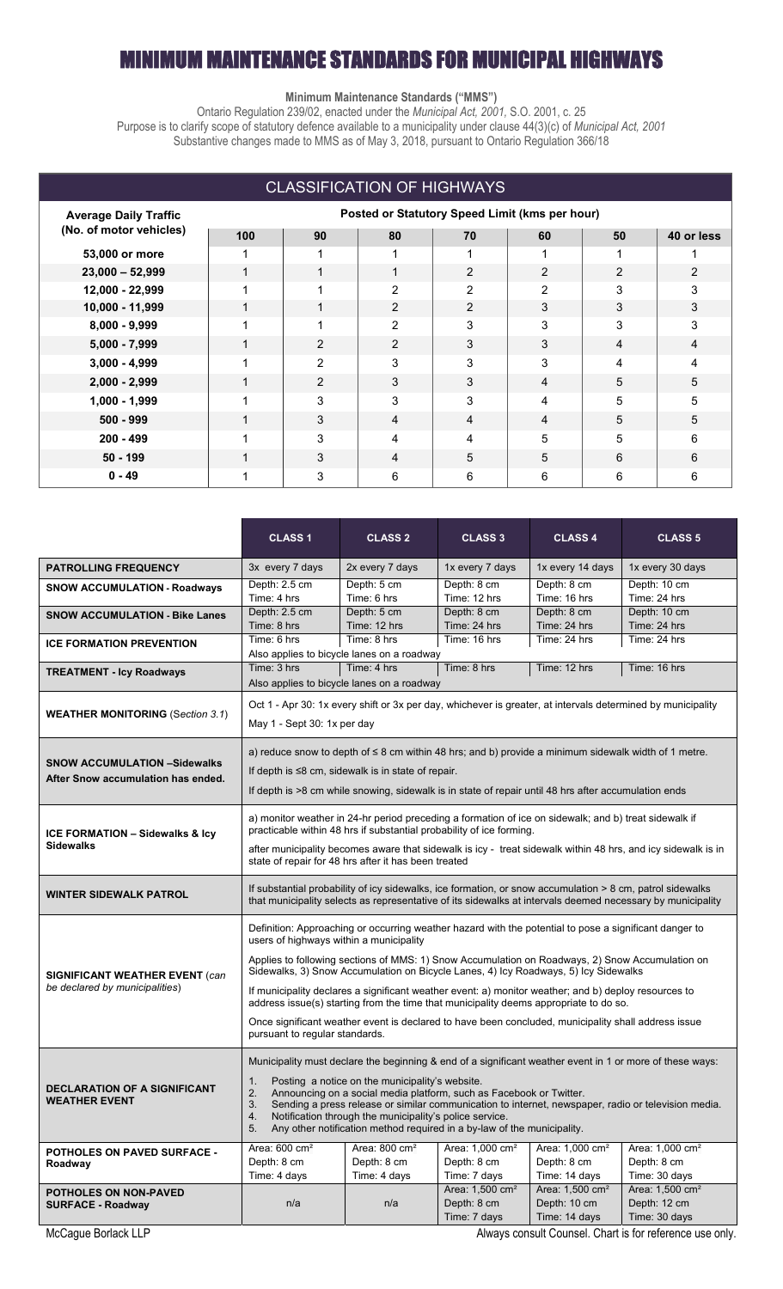### IUM MAINTENANCE STANDARDS FOR MUNICIPAL HIGHWAYS

### **Minimum Maintenance Standards ("MMS")**

Ontario Regulation 239/02, enacted under the *Municipal Act, 2001,* S.O. 2001, c. 25 Purpose is to clarify scope of statutory defence available to a municipality under clause 44(3)(c) of *Municipal Act, 2001* Substantive changes made to MMS as of May 3, 2018, pursuant to Ontario Regulation 366/18

| <b>CLASSIFICATION OF HIGHWAYS</b>                       |                                                |    |                |                |                |                |            |  |
|---------------------------------------------------------|------------------------------------------------|----|----------------|----------------|----------------|----------------|------------|--|
| <b>Average Daily Traffic</b><br>(No. of motor vehicles) | Posted or Statutory Speed Limit (kms per hour) |    |                |                |                |                |            |  |
|                                                         | 100                                            | 90 | 80             | 70             | 60             | 50             | 40 or less |  |
| 53,000 or more                                          |                                                |    | 1              |                |                |                |            |  |
| $23,000 - 52,999$                                       |                                                | 1  | 1              | $\overline{2}$ | $\overline{2}$ | $\overline{2}$ | 2          |  |
| 12,000 - 22,999                                         |                                                | 1  | $\overline{2}$ | 2              | $\overline{2}$ | 3              | 3          |  |
| 10,000 - 11,999                                         |                                                | 1  | $\overline{2}$ | $\overline{2}$ | 3              | 3              | 3          |  |
| $8,000 - 9,999$                                         |                                                | 1  | 2              | 3              | 3              | 3              | 3          |  |
| $5,000 - 7,999$                                         | 1                                              | 2  | 2              | 3              | 3              | 4              | 4          |  |
| $3,000 - 4,999$                                         |                                                | 2  | 3              | 3              | 3              | 4              | 4          |  |
| $2,000 - 2,999$                                         | 1                                              | 2  | 3              | 3              | 4              | 5              | 5          |  |
| $1,000 - 1,999$                                         |                                                | 3  | 3              | 3              | 4              | 5              | 5          |  |
| $500 - 999$                                             | 1                                              | 3  | 4              | 4              | 4              | 5              | 5          |  |
| $200 - 499$                                             |                                                | 3  | 4              | 4              | 5              | 5              | 6          |  |
| $50 - 199$                                              |                                                | 3  | 4              | 5              | 5              | 6              | 6          |  |
| $0 - 49$                                                |                                                | 3  | 6              | 6              | 6              | 6              | 6          |  |

|                                                                           | <b>CLASS 1</b>                                                                                                                                                                                                                                                                                                                                                                                                                                                                                                                                                                                                                                                                        | <b>CLASS 2</b>                                            | <b>CLASS 3</b>                                             | <b>CLASS 4</b>                                               | <b>CLASS 5</b>                                               |  |  |
|---------------------------------------------------------------------------|---------------------------------------------------------------------------------------------------------------------------------------------------------------------------------------------------------------------------------------------------------------------------------------------------------------------------------------------------------------------------------------------------------------------------------------------------------------------------------------------------------------------------------------------------------------------------------------------------------------------------------------------------------------------------------------|-----------------------------------------------------------|------------------------------------------------------------|--------------------------------------------------------------|--------------------------------------------------------------|--|--|
| <b>PATROLLING FREQUENCY</b>                                               | 3x every 7 days                                                                                                                                                                                                                                                                                                                                                                                                                                                                                                                                                                                                                                                                       | 2x every 7 days                                           | 1x every 7 days                                            | 1x every 14 days                                             | 1x every 30 days                                             |  |  |
| <b>SNOW ACCUMULATION - Roadways</b>                                       | Depth: 2.5 cm<br>Time: 4 hrs                                                                                                                                                                                                                                                                                                                                                                                                                                                                                                                                                                                                                                                          | Depth: 5 cm<br>Time: 6 hrs                                | Depth: 8 cm<br>Time: 12 hrs                                | Depth: 8 cm<br>Time: 16 hrs                                  | Depth: 10 cm<br>Time: 24 hrs                                 |  |  |
| <b>SNOW ACCUMULATION - Bike Lanes</b>                                     | Depth: 2.5 cm<br>Time: 8 hrs                                                                                                                                                                                                                                                                                                                                                                                                                                                                                                                                                                                                                                                          | Depth: 5 cm<br>Time: 12 hrs                               | Depth: 8 cm<br>Time: 24 hrs                                | Depth: 8 cm<br>Time: 24 hrs                                  | Depth: 10 cm<br>Time: 24 hrs                                 |  |  |
| <b>ICE FORMATION PREVENTION</b>                                           | Time: 6 hrs                                                                                                                                                                                                                                                                                                                                                                                                                                                                                                                                                                                                                                                                           | Time: 8 hrs<br>Also applies to bicycle lanes on a roadway | Time: 16 hrs                                               | Time: 24 hrs                                                 | Time: 24 hrs                                                 |  |  |
| <b>TREATMENT - Icy Roadways</b>                                           | Time: 3 hrs<br>Time: 4 hrs<br>Time: 8 hrs<br>Time: 12 hrs<br>Time: 16 hrs<br>Also applies to bicycle lanes on a roadway                                                                                                                                                                                                                                                                                                                                                                                                                                                                                                                                                               |                                                           |                                                            |                                                              |                                                              |  |  |
| <b>WEATHER MONITORING (Section 3.1)</b>                                   | Oct 1 - Apr 30: 1x every shift or 3x per day, whichever is greater, at intervals determined by municipality<br>May 1 - Sept 30: 1x per day                                                                                                                                                                                                                                                                                                                                                                                                                                                                                                                                            |                                                           |                                                            |                                                              |                                                              |  |  |
| <b>SNOW ACCUMULATION -Sidewalks</b><br>After Snow accumulation has ended. | a) reduce snow to depth of $\leq$ 8 cm within 48 hrs; and b) provide a minimum sidewalk width of 1 metre.<br>If depth is $\leq 8$ cm, sidewalk is in state of repair.<br>If depth is >8 cm while snowing, sidewalk is in state of repair until 48 hrs after accumulation ends                                                                                                                                                                                                                                                                                                                                                                                                         |                                                           |                                                            |                                                              |                                                              |  |  |
| ICE FORMATION - Sidewalks & Icy<br><b>Sidewalks</b>                       | a) monitor weather in 24-hr period preceding a formation of ice on sidewalk; and b) treat sidewalk if<br>practicable within 48 hrs if substantial probability of ice forming.<br>after municipality becomes aware that sidewalk is icy - treat sidewalk within 48 hrs, and icy sidewalk is in<br>state of repair for 48 hrs after it has been treated                                                                                                                                                                                                                                                                                                                                 |                                                           |                                                            |                                                              |                                                              |  |  |
| WINTER SIDEWALK PATROL                                                    | If substantial probability of icy sidewalks, ice formation, or snow accumulation > 8 cm, patrol sidewalks<br>that municipality selects as representative of its sidewalks at intervals deemed necessary by municipality                                                                                                                                                                                                                                                                                                                                                                                                                                                               |                                                           |                                                            |                                                              |                                                              |  |  |
| <b>SIGNIFICANT WEATHER EVENT (can</b><br>be declared by municipalities)   | Definition: Approaching or occurring weather hazard with the potential to pose a significant danger to<br>users of highways within a municipality<br>Applies to following sections of MMS: 1) Snow Accumulation on Roadways, 2) Snow Accumulation on<br>Sidewalks, 3) Snow Accumulation on Bicycle Lanes, 4) Icy Roadways, 5) Icy Sidewalks<br>If municipality declares a significant weather event: a) monitor weather; and b) deploy resources to<br>address issue(s) starting from the time that municipality deems appropriate to do so.<br>Once significant weather event is declared to have been concluded, municipality shall address issue<br>pursuant to regular standards. |                                                           |                                                            |                                                              |                                                              |  |  |
| <b>DECLARATION OF A SIGNIFICANT</b><br><b>WEATHER EVENT</b>               | Municipality must declare the beginning & end of a significant weather event in 1 or more of these ways:<br>Posting a notice on the municipality's website.<br>1.<br>Announcing on a social media platform, such as Facebook or Twitter.<br>2.<br>3.<br>Sending a press release or similar communication to internet, newspaper, radio or television media.<br>Notification through the municipality's police service.<br>4.<br>5.<br>Any other notification method required in a by-law of the municipality.                                                                                                                                                                         |                                                           |                                                            |                                                              |                                                              |  |  |
| <b>POTHOLES ON PAVED SURFACE -</b><br>Roadway                             | Area: $600 \text{ cm}^2$<br>Depth: 8 cm<br>Time: 4 days                                                                                                                                                                                                                                                                                                                                                                                                                                                                                                                                                                                                                               | Area: 800 cm <sup>2</sup><br>Depth: 8 cm<br>Time: 4 days  | Area: 1,000 cm <sup>2</sup><br>Depth: 8 cm<br>Time: 7 days | Area: 1,000 cm <sup>2</sup><br>Depth: 8 cm<br>Time: 14 days  | Area: 1,000 cm <sup>2</sup><br>Depth: 8 cm<br>Time: 30 days  |  |  |
| <b>POTHOLES ON NON-PAVED</b><br><b>SURFACE - Roadway</b>                  | n/a                                                                                                                                                                                                                                                                                                                                                                                                                                                                                                                                                                                                                                                                                   | n/a                                                       | Area: 1,500 cm <sup>2</sup><br>Depth: 8 cm<br>Time: 7 days | Area: 1,500 cm <sup>2</sup><br>Depth: 10 cm<br>Time: 14 days | Area: 1,500 cm <sup>2</sup><br>Depth: 12 cm<br>Time: 30 days |  |  |

McCague Borlack LLP **Always consult Counsel.** Chart is for reference use only.